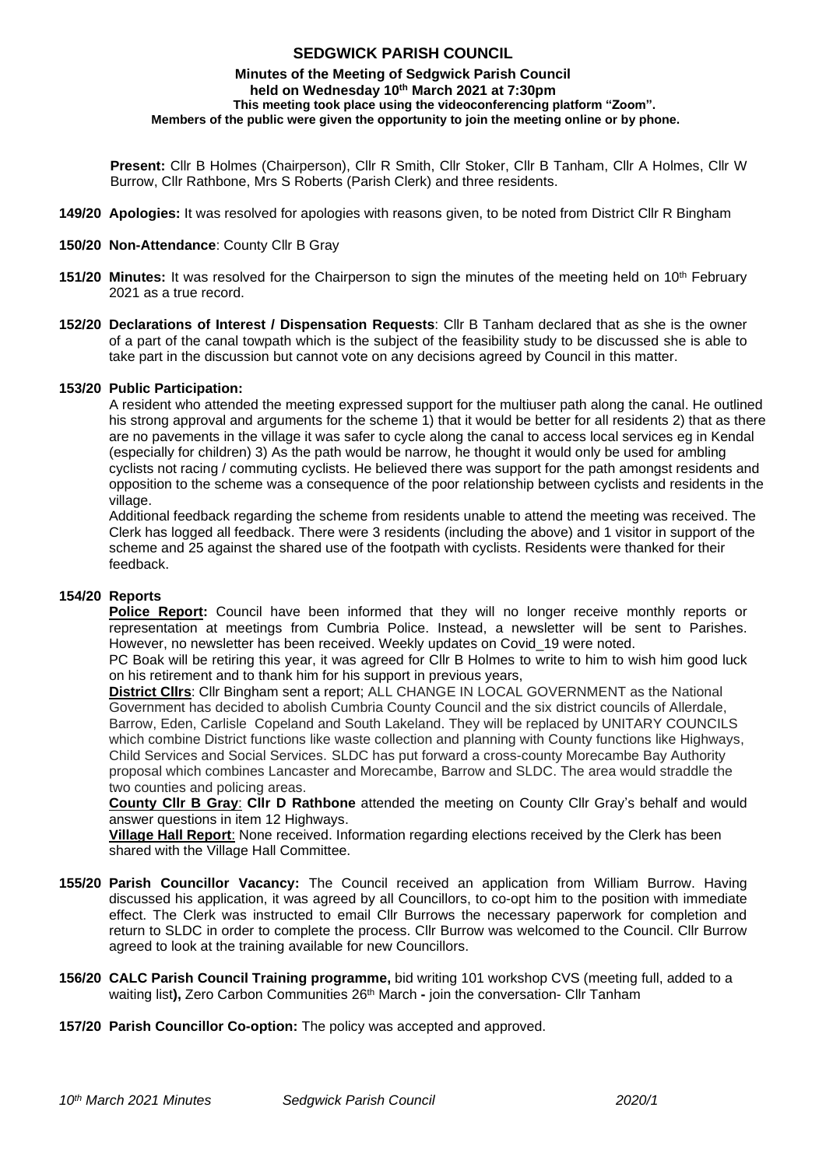# **SEDGWICK PARISH COUNCIL**

#### **Minutes of the Meeting of Sedgwick Parish Council held on Wednesday 10 th March 2021 at 7:30pm This meeting took place using the videoconferencing platform "Zoom". Members of the public were given the opportunity to join the meeting online or by phone.**

**Present:** Cllr B Holmes (Chairperson), Cllr R Smith, Cllr Stoker, Cllr B Tanham, Cllr A Holmes, Cllr W Burrow, Cllr Rathbone, Mrs S Roberts (Parish Clerk) and three residents.

- **149/20 Apologies:** It was resolved for apologies with reasons given, to be noted from District Cllr R Bingham
- **150/20 Non-Attendance**: County Cllr B Gray
- **151/20 Minutes:** It was resolved for the Chairperson to sign the minutes of the meeting held on 10<sup>th</sup> February 2021 as a true record.
- **152/20 Declarations of Interest / Dispensation Requests**: Cllr B Tanham declared that as she is the owner of a part of the canal towpath which is the subject of the feasibility study to be discussed she is able to take part in the discussion but cannot vote on any decisions agreed by Council in this matter.

#### **153/20 Public Participation:**

A resident who attended the meeting expressed support for the multiuser path along the canal. He outlined his strong approval and arguments for the scheme 1) that it would be better for all residents 2) that as there are no pavements in the village it was safer to cycle along the canal to access local services eg in Kendal (especially for children) 3) As the path would be narrow, he thought it would only be used for ambling cyclists not racing / commuting cyclists. He believed there was support for the path amongst residents and opposition to the scheme was a consequence of the poor relationship between cyclists and residents in the village.

Additional feedback regarding the scheme from residents unable to attend the meeting was received. The Clerk has logged all feedback. There were 3 residents (including the above) and 1 visitor in support of the scheme and 25 against the shared use of the footpath with cyclists. Residents were thanked for their feedback.

## **154/20 Reports**

**Police Report:** Council have been informed that they will no longer receive monthly reports or representation at meetings from Cumbria Police. Instead, a newsletter will be sent to Parishes. However, no newsletter has been received. Weekly updates on Covid\_19 were noted.

PC Boak will be retiring this year, it was agreed for Cllr B Holmes to write to him to wish him good luck on his retirement and to thank him for his support in previous years,

**District Cllrs**: Cllr Bingham sent a report; ALL CHANGE IN LOCAL GOVERNMENT as the National Government has decided to abolish Cumbria County Council and the six district councils of Allerdale, Barrow, Eden, Carlisle Copeland and South Lakeland. They will be replaced by UNITARY COUNCILS which combine District functions like waste collection and planning with County functions like Highways, Child Services and Social Services. SLDC has put forward a cross-county Morecambe Bay Authority proposal which combines Lancaster and Morecambe, Barrow and SLDC. The area would straddle the two counties and policing areas.

**County Cllr B Gray**: **Cllr D Rathbone** attended the meeting on County Cllr Gray's behalf and would answer questions in item 12 Highways.

**Village Hall Report**: None received. Information regarding elections received by the Clerk has been shared with the Village Hall Committee.

- **155/20 Parish Councillor Vacancy:** The Council received an application from William Burrow. Having discussed his application, it was agreed by all Councillors, to co-opt him to the position with immediate effect. The Clerk was instructed to email Cllr Burrows the necessary paperwork for completion and return to SLDC in order to complete the process. Cllr Burrow was welcomed to the Council. Cllr Burrow agreed to look at the training available for new Councillors.
- **156/20 CALC Parish Council Training programme,** bid writing 101 workshop CVS (meeting full, added to a waiting list**),** Zero Carbon Communities 26th March **-** join the conversation- Cllr Tanham
- **157/20 Parish Councillor Co-option:** The policy was accepted and approved.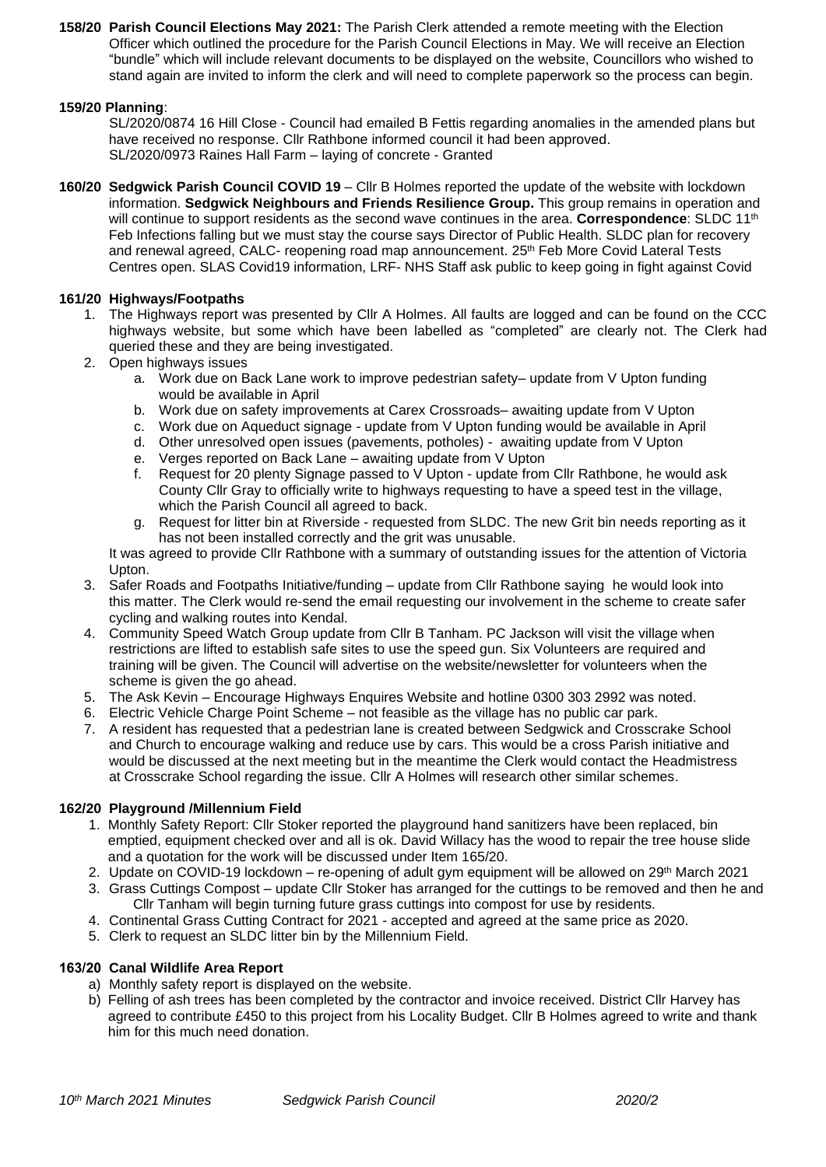**158/20 Parish Council Elections May 2021:** The Parish Clerk attended a remote meeting with the Election Officer which outlined the procedure for the Parish Council Elections in May. We will receive an Election "bundle" which will include relevant documents to be displayed on the website, Councillors who wished to stand again are invited to inform the clerk and will need to complete paperwork so the process can begin.

## **159/20 Planning**:

SL/2020/0874 16 Hill Close - Council had emailed B Fettis regarding anomalies in the amended plans but have received no response. Cllr Rathbone informed council it had been approved. SL/2020/0973 Raines Hall Farm – laying of concrete - Granted

**160/20 Sedgwick Parish Council COVID 19** – Cllr B Holmes reported the update of the website with lockdown information. **Sedgwick Neighbours and Friends Resilience Group.** This group remains in operation and will continue to support residents as the second wave continues in the area. **Correspondence**: SLDC 11<sup>th</sup> Feb Infections falling but we must stay the course says Director of Public Health. SLDC plan for recovery and renewal agreed, CALC- reopening road map announcement. 25<sup>th</sup> Feb More Covid Lateral Tests Centres open. SLAS Covid19 information, LRF- NHS Staff ask public to keep going in fight against Covid

## **161/20 Highways/Footpaths**

- 1. The Highways report was presented by Cllr A Holmes. All faults are logged and can be found on the CCC highways website, but some which have been labelled as "completed" are clearly not. The Clerk had queried these and they are being investigated.
- 2. Open highways issues
	- a. Work due on Back Lane work to improve pedestrian safety– update from V Upton funding would be available in April
	- b. Work due on safety improvements at Carex Crossroads– awaiting update from V Upton
	- c. Work due on Aqueduct signage update from V Upton funding would be available in April
	- d. Other unresolved open issues (pavements, potholes) awaiting update from V Upton
	- e. Verges reported on Back Lane awaiting update from V Upton
	- f. Request for 20 plenty Signage passed to V Upton update from Cllr Rathbone, he would ask County Cllr Gray to officially write to highways requesting to have a speed test in the village, which the Parish Council all agreed to back.
	- g. Request for litter bin at Riverside requested from SLDC. The new Grit bin needs reporting as it has not been installed correctly and the grit was unusable.

It was agreed to provide Cllr Rathbone with a summary of outstanding issues for the attention of Victoria Upton.

- 3. Safer Roads and Footpaths Initiative/funding update from Cllr Rathbone saying he would look into this matter. The Clerk would re-send the email requesting our involvement in the scheme to create safer cycling and walking routes into Kendal.
- 4. Community Speed Watch Group update from Cllr B Tanham. PC Jackson will visit the village when restrictions are lifted to establish safe sites to use the speed gun. Six Volunteers are required and training will be given. The Council will advertise on the website/newsletter for volunteers when the scheme is given the go ahead.
- 5. The Ask Kevin Encourage Highways Enquires Website and hotline 0300 303 2992 was noted.
- 6. Electric Vehicle Charge Point Scheme not feasible as the village has no public car park.
- 7. A resident has requested that a pedestrian lane is created between Sedgwick and Crosscrake School and Church to encourage walking and reduce use by cars. This would be a cross Parish initiative and would be discussed at the next meeting but in the meantime the Clerk would contact the Headmistress at Crosscrake School regarding the issue. Cllr A Holmes will research other similar schemes.

## **162/20 Playground /Millennium Field**

- 1. Monthly Safety Report: Cllr Stoker reported the playground hand sanitizers have been replaced, bin emptied, equipment checked over and all is ok. David Willacy has the wood to repair the tree house slide and a quotation for the work will be discussed under Item 165/20.
- 2. Update on COVID-19 lockdown re-opening of adult gym equipment will be allowed on 29<sup>th</sup> March 2021
- 3. Grass Cuttings Compost update Cllr Stoker has arranged for the cuttings to be removed and then he and Cllr Tanham will begin turning future grass cuttings into compost for use by residents.
- 4. Continental Grass Cutting Contract for 2021 accepted and agreed at the same price as 2020.
- 5. Clerk to request an SLDC litter bin by the Millennium Field.

## **163/20 Canal Wildlife Area Report**

- a) Monthly safety report is displayed on the website.
- b) Felling of ash trees has been completed by the contractor and invoice received. District Cllr Harvey has agreed to contribute £450 to this project from his Locality Budget. Cllr B Holmes agreed to write and thank him for this much need donation.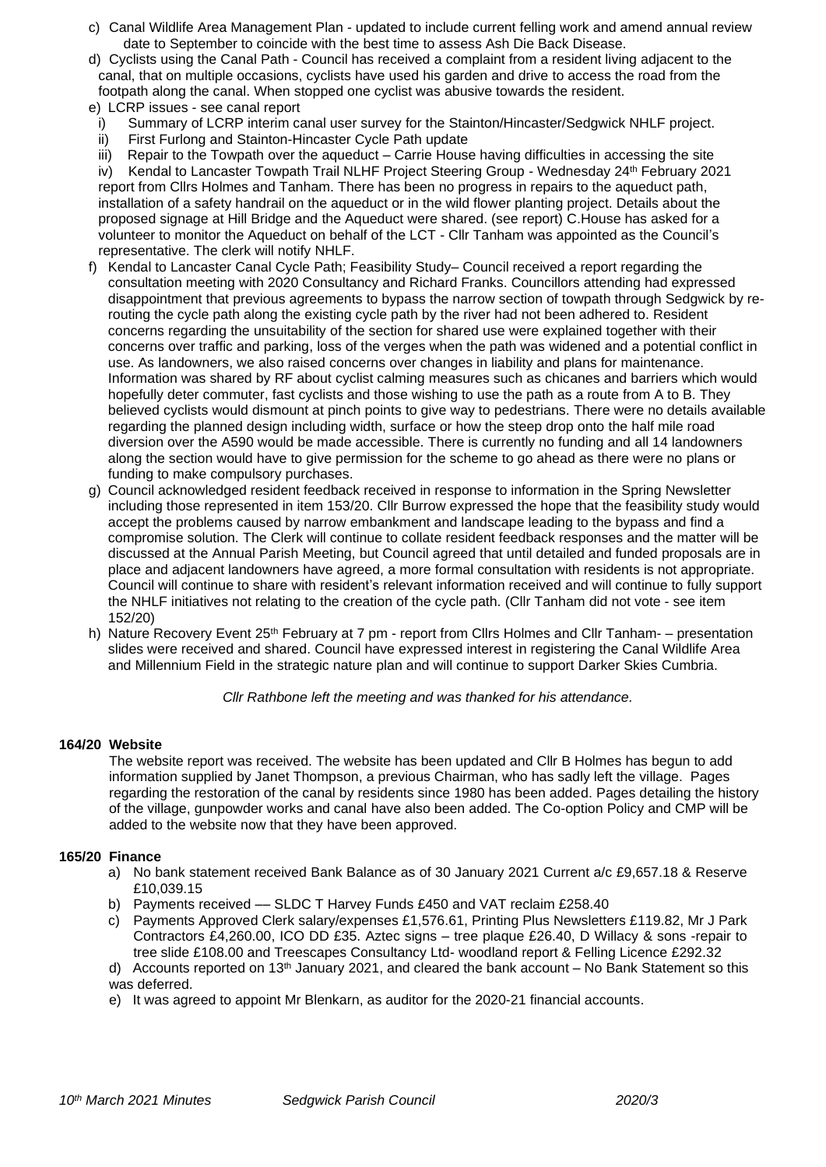- c) Canal Wildlife Area Management Plan updated to include current felling work and amend annual review date to September to coincide with the best time to assess Ash Die Back Disease.
- d) Cyclists using the Canal Path Council has received a complaint from a resident living adjacent to the canal, that on multiple occasions, cyclists have used his garden and drive to access the road from the footpath along the canal. When stopped one cyclist was abusive towards the resident.
- e) LCRP issues see canal report
- i) Summary of LCRP interim canal user survey for the Stainton/Hincaster/Sedgwick NHLF project.
- ii) First Furlong and Stainton-Hincaster Cycle Path update<br>iii) Repair to the Towpath over the aqueduct Carrie House
- Repair to the Towpath over the aqueduct Carrie House having difficulties in accessing the site

iv) Kendal to Lancaster Towpath Trail NLHF Project Steering Group - Wednesday 24<sup>th</sup> February 2021 report from Cllrs Holmes and Tanham. There has been no progress in repairs to the aqueduct path, installation of a safety handrail on the aqueduct or in the wild flower planting project. Details about the proposed signage at Hill Bridge and the Aqueduct were shared. (see report) C.House has asked for a volunteer to monitor the Aqueduct on behalf of the LCT - Cllr Tanham was appointed as the Council's representative. The clerk will notify NHLF.

- f) Kendal to Lancaster Canal Cycle Path; Feasibility Study– Council received a report regarding the consultation meeting with 2020 Consultancy and Richard Franks. Councillors attending had expressed disappointment that previous agreements to bypass the narrow section of towpath through Sedgwick by rerouting the cycle path along the existing cycle path by the river had not been adhered to. Resident concerns regarding the unsuitability of the section for shared use were explained together with their concerns over traffic and parking, loss of the verges when the path was widened and a potential conflict in use. As landowners, we also raised concerns over changes in liability and plans for maintenance. Information was shared by RF about cyclist calming measures such as chicanes and barriers which would hopefully deter commuter, fast cyclists and those wishing to use the path as a route from A to B. They believed cyclists would dismount at pinch points to give way to pedestrians. There were no details available regarding the planned design including width, surface or how the steep drop onto the half mile road diversion over the A590 would be made accessible. There is currently no funding and all 14 landowners along the section would have to give permission for the scheme to go ahead as there were no plans or funding to make compulsory purchases.
- g) Council acknowledged resident feedback received in response to information in the Spring Newsletter including those represented in item 153/20. Cllr Burrow expressed the hope that the feasibility study would accept the problems caused by narrow embankment and landscape leading to the bypass and find a compromise solution. The Clerk will continue to collate resident feedback responses and the matter will be discussed at the Annual Parish Meeting, but Council agreed that until detailed and funded proposals are in place and adjacent landowners have agreed, a more formal consultation with residents is not appropriate. Council will continue to share with resident's relevant information received and will continue to fully support the NHLF initiatives not relating to the creation of the cycle path. (Cllr Tanham did not vote - see item 152/20)
- h) Nature Recovery Event 25<sup>th</sup> February at 7 pm report from Cllrs Holmes and Cllr Tanham- presentation slides were received and shared. Council have expressed interest in registering the Canal Wildlife Area and Millennium Field in the strategic nature plan and will continue to support Darker Skies Cumbria.

*Cllr Rathbone left the meeting and was thanked for his attendance.*

## **164/20 Website**

The website report was received. The website has been updated and Cllr B Holmes has begun to add information supplied by Janet Thompson, a previous Chairman, who has sadly left the village. Pages regarding the restoration of the canal by residents since 1980 has been added. Pages detailing the history of the village, gunpowder works and canal have also been added. The Co-option Policy and CMP will be added to the website now that they have been approved.

#### **165/20 Finance**

- a) No bank statement received Bank Balance as of 30 January 2021 Current a/c £9,657.18 & Reserve £10,039.15
- b) Payments received –– SLDC T Harvey Funds £450 and VAT reclaim £258.40
- c) Payments Approved Clerk salary/expenses £1,576.61, Printing Plus Newsletters £119.82, Mr J Park Contractors £4,260.00, ICO DD £35. Aztec signs – tree plaque £26.40, D Willacy & sons -repair to tree slide £108.00 and Treescapes Consultancy Ltd- woodland report & Felling Licence £292.32

d) Accounts reported on 13<sup>th</sup> January 2021, and cleared the bank account – No Bank Statement so this was deferred.

e) It was agreed to appoint Mr Blenkarn, as auditor for the 2020-21 financial accounts.